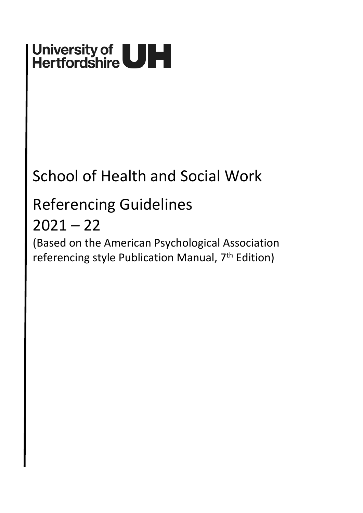# University of<br>Hertfordshire

# School of Health and Social Work

# Referencing Guidelines

# $2021 - 22$

(Based on the American Psychological Association referencing style Publication Manual, 7<sup>th</sup> Edition)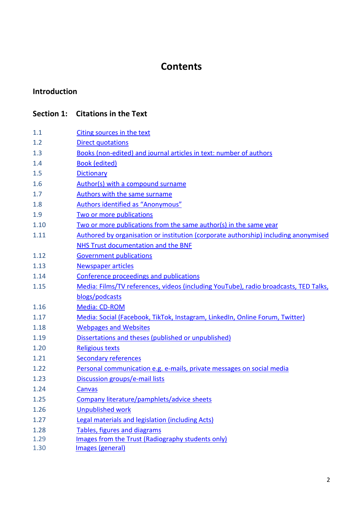# **[Contents](#page-3-0)**

### **[Introduction](#page-3-0)**

## **Section 1: [Citations in the Text](#page-6-0)**

| 1.1  | Citing sources in the text                                                           |
|------|--------------------------------------------------------------------------------------|
| 1.2  | <b>Direct quotations</b>                                                             |
| 1.3  | Books (non-edited) and journal articles in text: number of authors                   |
| 1.4  | <b>Book (edited)</b>                                                                 |
| 1.5  | <b>Dictionary</b>                                                                    |
| 1.6  | Author(s) with a compound surname                                                    |
| 1.7  | Authors with the same surname                                                        |
| 1.8  | Authors identified as "Anonymous"                                                    |
| 1.9  | Two or more publications                                                             |
| 1.10 | Two or more publications from the same author(s) in the same year                    |
| 1.11 | Authored by organisation or institution (corporate authorship) including anonymised  |
|      | NHS Trust documentation and the BNF                                                  |
| 1.12 | <b>Government publications</b>                                                       |
| 1.13 | <b>Newspaper articles</b>                                                            |
| 1.14 | Conference proceedings and publications                                              |
| 1.15 | Media: Films/TV references, videos (including YouTube), radio broadcasts, TED Talks, |
|      | blogs/podcasts                                                                       |
| 1.16 | Media: CD-ROM                                                                        |
| 1.17 | Media: Social (Facebook, TikTok, Instagram, LinkedIn, Online Forum, Twitter)         |
| 1.18 | <b>Webpages and Websites</b>                                                         |
| 1.19 | Dissertations and theses (published or unpublished)                                  |
| 1.20 | <b>Religious texts</b>                                                               |
| 1.21 | <b>Secondary references</b>                                                          |
| 1.22 | Personal communication e.g. e-mails, private messages on social media                |
| 1.23 | Discussion groups/e-mail lists                                                       |
| 1.24 | <b>Canvas</b>                                                                        |
| 1.25 | Company literature/pamphlets/advice sheets                                           |
| 1.26 | <b>Unpublished work</b>                                                              |
| 1.27 | Legal materials and legislation (including Acts)                                     |
| 1.28 | <b>Tables, figures and diagrams</b>                                                  |
| 1.29 | Images from the Trust (Radiography students only)                                    |
| 1.30 | Images (general)                                                                     |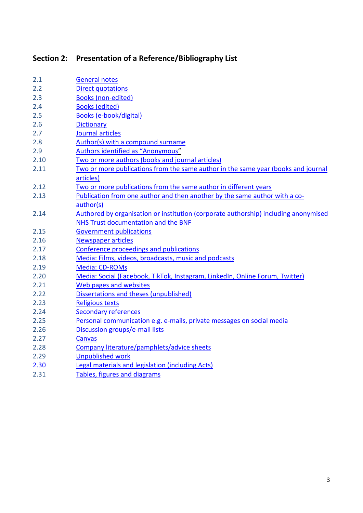# **Section 2: [Presentation of a Reference/Bibliography List](#page-19-1)**

| 2.1  | <b>General notes</b>                                                                |
|------|-------------------------------------------------------------------------------------|
| 2.2  | <b>Direct quotations</b>                                                            |
| 2.3  | <b>Books (non-edited)</b>                                                           |
| 2.4  | <b>Books (edited)</b>                                                               |
| 2.5  | <b>Books (e-book/digital)</b>                                                       |
| 2.6  | <b>Dictionary</b>                                                                   |
| 2.7  | Journal articles                                                                    |
| 2.8  | Author(s) with a compound surname                                                   |
| 2.9  | Authors identified as "Anonymous"                                                   |
| 2.10 | Two or more authors (books and journal articles)                                    |
| 2.11 | Two or more publications from the same author in the same year (books and journal   |
|      | articles)                                                                           |
| 2.12 | Two or more publications from the same author in different years                    |
| 2.13 | Publication from one author and then another by the same author with a co-          |
|      | author(s)                                                                           |
| 2.14 | Authored by organisation or institution (corporate authorship) including anonymised |
|      | NHS Trust documentation and the BNF                                                 |
| 2.15 | <b>Government publications</b>                                                      |
| 2.16 | <b>Newspaper articles</b>                                                           |
| 2.17 | Conference proceedings and publications                                             |
| 2.18 | Media: Films, videos, broadcasts, music and podcasts                                |
| 2.19 | Media: CD-ROMs                                                                      |
| 2.20 | Media: Social (Facebook, TikTok, Instagram, LinkedIn, Online Forum, Twitter)        |
| 2.21 | Web pages and websites                                                              |
| 2.22 | Dissertations and theses (unpublished)                                              |
| 2.23 | <b>Religious texts</b>                                                              |
| 2.24 | <b>Secondary references</b>                                                         |
| 2.25 | Personal communication e.g. e-mails, private messages on social media               |
| 2.26 | Discussion groups/e-mail lists                                                      |
| 2.27 | Canvas                                                                              |
| 2.28 | Company literature/pamphlets/advice sheets                                          |
| 2.29 | <b>Unpublished work</b>                                                             |
| 2.30 | <b>Legal materials and legislation (including Acts)</b>                             |
| 2.31 | Tables, figures and diagrams                                                        |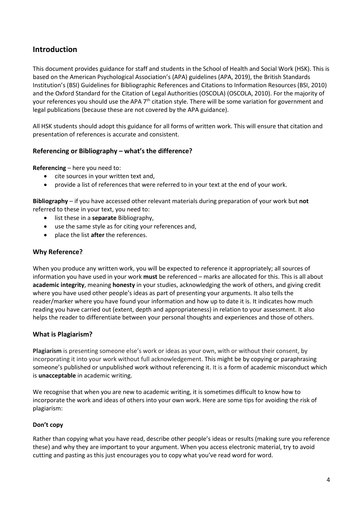#### <span id="page-3-0"></span>**Introduction**

This document provides guidance for staff and students in the School of Health and Social Work (HSK). This is based on the American Psychological Association's (APA) guidelines (APA, 2019), the British Standards Institution's (BSI) Guidelines for Bibliographic References and Citations to Information Resources (BSI, 2010) and the Oxford Standard for the Citation of Legal Authorities (OSCOLA) (OSCOLA, 2010). For the majority of your references you should use the APA 7<sup>th</sup> citation style. There will be some variation for government and legal publications (because these are not covered by the APA guidance).

All HSK students should adopt this guidance for all forms of written work. This will ensure that citation and presentation of references is accurate and consistent.

#### **Referencing or Bibliography – what's the difference?**

**Referencing** – here you need to:

- cite sources in your written text and,
- provide a list of references that were referred to in your text at the end of your work.

**Bibliography** – if you have accessed other relevant materials during preparation of your work but **not** referred to these in your text, you need to:

- list these in a **separate** Bibliography,
- use the same style as for citing your references and,
- place the list **after** the references.

#### **Why Reference?**

When you produce any written work, you will be expected to reference it appropriately; all sources of information you have used in your work **must** be referenced – marks are allocated for this. This is all about **academic integrity**, meaning **honesty** in your studies, acknowledging the work of others, and giving credit where you have used other people's ideas as part of presenting your arguments. It also tells the reader/marker where you have found your information and how up to date it is. It indicates how much reading you have carried out (extent, depth and appropriateness) in relation to your assessment. It also helps the reader to differentiate between your personal thoughts and experiences and those of others.

#### **What is Plagiarism?**

**Plagiarism** is presenting someone else's work or ideas as your own, with or without their consent, by incorporating it into your work without full acknowledgement. This might be by copying or paraphrasing someone's published or unpublished work without referencing it. It is a form of academic misconduct which is **unacceptable** in academic writing.

We recognise that when you are new to academic writing, it is sometimes difficult to know how to incorporate the work and ideas of others into your own work. Here are some tips for avoiding the risk of plagiarism:

#### **Don't copy**

Rather than copying what you have read, describe other people's ideas or results (making sure you reference these) and why they are important to your argument. When you access electronic material, try to avoid cutting and pasting as this just encourages you to copy what you've read word for word.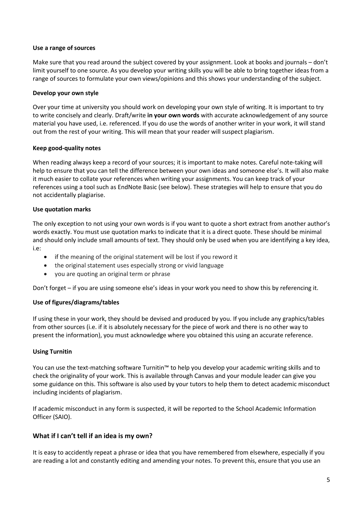#### **Use a range of sources**

Make sure that you read around the subject covered by your assignment. Look at books and journals – don't limit yourself to one source. As you develop your writing skills you will be able to bring together ideas from a range of sources to formulate your own views/opinions and this shows your understanding of the subject.

#### **Develop your own style**

Over your time at university you should work on developing your own style of writing. It is important to try to write concisely and clearly. Draft/write **in your own words** with accurate acknowledgement of any source material you have used, i.e. referenced. If you do use the words of another writer in your work, it will stand out from the rest of your writing. This will mean that your reader will suspect plagiarism.

#### **Keep good-quality notes**

When reading always keep a record of your sources; it is important to make notes. Careful note-taking will help to ensure that you can tell the difference between your own ideas and someone else's. It will also make it much easier to collate your references when writing your assignments. You can keep track of your references using a tool such as EndNote Basic (see below). These strategies will help to ensure that you do not accidentally plagiarise.

#### **Use quotation marks**

The only exception to not using your own words is if you want to quote a short extract from another author's words exactly. You must use quotation marks to indicate that it is a direct quote. These should be minimal and should only include small amounts of text. They should only be used when you are identifying a key idea, i.e:

- if the meaning of the original statement will be lost if you reword it
- the original statement uses especially strong or vivid language
- you are quoting an original term or phrase

Don't forget – if you are using someone else's ideas in your work you need to show this by referencing it.

#### **Use of figures/diagrams/tables**

If using these in your work, they should be devised and produced by you. If you include any graphics/tables from other sources (i.e. if it is absolutely necessary for the piece of work and there is no other way to present the information), you must acknowledge where you obtained this using an accurate reference.

#### **Using Turnitin**

You can use the text-matching software Turnitin™ to help you develop your academic writing skills and to check the originality of your work. This is available through Canvas and your module leader can give you some guidance on this. This software is also used by your tutors to help them to detect academic misconduct including incidents of plagiarism.

If academic misconduct in any form is suspected, it will be reported to the School Academic Information Officer (SAIO).

#### **What if I can't tell if an idea is my own?**

It is easy to accidently repeat a phrase or idea that you have remembered from elsewhere, especially if you are reading a lot and constantly editing and amending your notes. To prevent this, ensure that you use an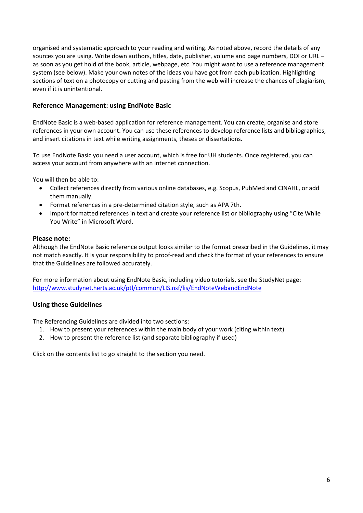organised and systematic approach to your reading and writing. As noted above, record the details of any sources you are using. Write down authors, titles, date, publisher, volume and page numbers, DOI or URL – as soon as you get hold of the book, article, webpage, etc. You might want to use a reference management system (see below). Make your own notes of the ideas you have got from each publication. Highlighting sections of text on a photocopy or cutting and pasting from the web will increase the chances of plagiarism, even if it is unintentional.

#### **Reference Management: using EndNote Basic**

EndNote Basic is a web-based application for reference management. You can create, organise and store references in your own account. You can use these references to develop reference lists and bibliographies, and insert citations in text while writing assignments, theses or dissertations.

To use EndNote Basic you need a user account, which is free for UH students. Once registered, you can access your account from anywhere with an internet connection.

You will then be able to:

- Collect references directly from various online databases, e.g. Scopus, PubMed and CINAHL, or add them manually.
- Format references in a pre-determined citation style, such as APA 7th.
- Import formatted references in text and create your reference list or bibliography using "Cite While You Write" in Microsoft Word.

#### **Please note:**

Although the EndNote Basic reference output looks similar to the format prescribed in the Guidelines, it may not match exactly. It is your responsibility to proof-read and check the format of your references to ensure that the Guidelines are followed accurately.

For more information about using EndNote Basic, including video tutorials, see the StudyNet page: http://www.studynet.herts.ac.uk/ptl/common/LIS.nsf/lis/EndNoteWebandEndNote

#### **Using these Guidelines**

The Referencing Guidelines are divided into two sections:

- 1. How to present your references within the main body of your work (citing within text)
- 2. How to present the reference list (and separate bibliography if used)

Click on the contents list to go straight to the section you need.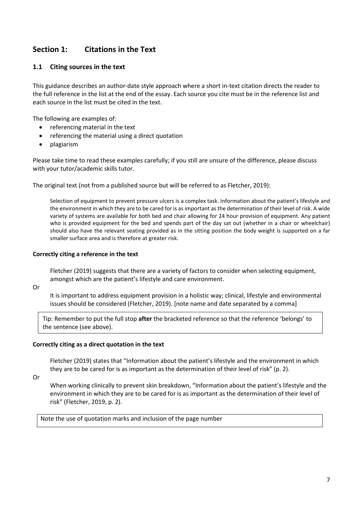### <span id="page-6-0"></span>**Section 1: Citations in the Text**

#### <span id="page-6-1"></span>**1.1 Citing sources in the text**

This guidance describes an author-date style approach where a short in-text citation directs the reader to the full reference in the list at the end of the essay. Each source you cite must be in the reference list and each source in the list must be cited in the text.

The following are examples of:

- referencing material in the text
- referencing the material using a direct quotation
- plagiarism

Please take time to read these examples carefully; if you still are unsure of the difference, please discuss with your tutor/academic skills tutor.

The original text (not from a published source but will be referred to as Fletcher, 2019):

Selection of equipment to prevent pressure ulcers is a complex task. Information about the patient's lifestyle and the environment in which they are to be cared for is as important as the determination of their level of risk. A wide variety of systems are available for both bed and chair allowing for 24 hour provision of equipment. Any patient who is provided equipment for the bed and spends part of the day sat out (whether in a chair or wheelchair) should also have the relevant seating provided as in the sitting position the body weight is supported on a far smaller surface area and is therefore at greater risk.

#### **Correctly citing a reference in the text**

Fletcher (2019) suggests that there are a variety of factors to consider when selecting equipment, amongst which are the patient's lifestyle and care environment.

Or

It is important to address equipment provision in a holistic way; clinical, lifestyle and environmental issues should be considered (Fletcher, 2019). [note name and date separated by a comma]

Tip: Remember to put the full stop **after** the bracketed reference so that the reference 'belongs' to the sentence (see above).

#### **Correctly citing as a direct quotation in the text**

Fletcher (2019) states that "Information about the patient's lifestyle and the environment in which they are to be cared for is as important as the determination of their level of risk" (p. 2).

Or

When working clinically to prevent skin breakdown, "Information about the patient's lifestyle and the environment in which they are to be cared for is as important as the determination of their level of risk" (Fletcher, 2019, p. 2).

Note the use of quotation marks and inclusion of the page number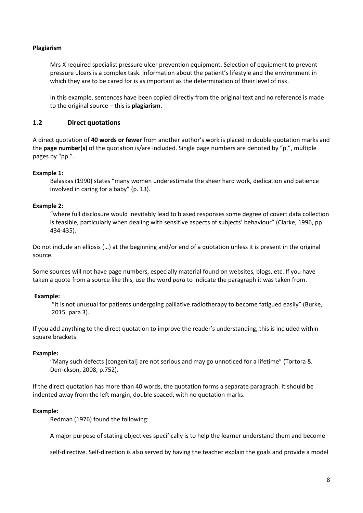#### **Plagiarism**

Mrs X required specialist pressure ulcer prevention equipment. Selection of equipment to prevent pressure ulcers is a complex task. Information about the patient's lifestyle and the environment in which they are to be cared for is as important as the determination of their level of risk.

In this example, sentences have been copied directly from the original text and no reference is made to the original source – this is **plagiarism**.

#### <span id="page-7-0"></span>**1.2 Direct quotations**

A direct quotation of **40 words or fewer** from another author's work is placed in double quotation marks and the **page number(s)** of the quotation is/are included. Single page numbers are denoted by "p.", multiple pages by "pp.".

#### **Example 1:**

Balaskas (1990) states "many women underestimate the sheer hard work, dedication and patience involved in caring for a baby" (p. 13).

#### **Example 2:**

"where full disclosure would inevitably lead to biased responses some degree of covert data collection is feasible, particularly when dealing with sensitive aspects of subjects' behaviour" (Clarke, 1996, pp. 434-435).

Do not include an ellipsis (…) at the beginning and/or end of a quotation unless it is present in the original source.

Some sources will not have page numbers, especially material found on websites, blogs, etc. If you have taken a quote from a source like this, use the word *para* to indicate the paragraph it was taken from.

#### **Example:**

"It is not unusual for patients undergoing palliative radiotherapy to become fatigued easily" (Burke, 2015, para 3).

If you add anything to the direct quotation to improve the reader's understanding, this is included within square brackets.

#### **Example:**

"Many such defects [congenital] are not serious and may go unnoticed for a lifetime" (Tortora & Derrickson, 2008, p.752).

If the direct quotation has more than 40 words, the quotation forms a separate paragraph. It should be indented away from the left margin, double spaced, with no quotation marks.

#### **Example:**

Redman (1976) found the following:

A major purpose of stating objectives specifically is to help the learner understand them and become

self-directive. Self-direction is also served by having the teacher explain the goals and provide a model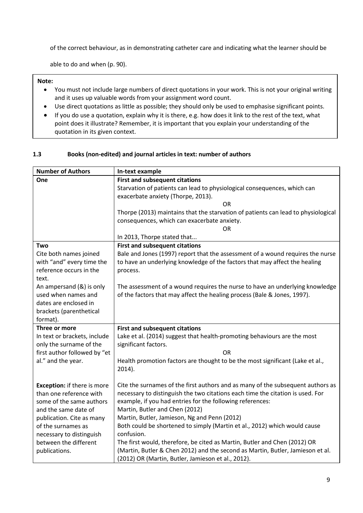of the correct behaviour, as in demonstrating catheter care and indicating what the learner should be

able to do and when (p. 90).

**Note:** 

- You must not include large numbers of direct quotations in your work. This is not your original writing and it uses up valuable words from your assignment word count.
- Use direct quotations as little as possible; they should only be used to emphasise significant points.
- If you do use a quotation, explain why it is there, e.g. how does it link to the rest of the text, what point does it illustrate? Remember, it is important that you explain your understanding of the quotation in its given context.

#### **1.3 Books (non-edited) and journal articles in text: number of authors**

| <b>Number of Authors</b>           | In-text example                                                                   |
|------------------------------------|-----------------------------------------------------------------------------------|
| One                                | <b>First and subsequent citations</b>                                             |
|                                    | Starvation of patients can lead to physiological consequences, which can          |
|                                    | exacerbate anxiety (Thorpe, 2013).                                                |
|                                    | OR                                                                                |
|                                    | Thorpe (2013) maintains that the starvation of patients can lead to physiological |
|                                    | consequences, which can exacerbate anxiety.                                       |
|                                    | OR                                                                                |
|                                    | In 2013, Thorpe stated that                                                       |
| Two                                | <b>First and subsequent citations</b>                                             |
| Cite both names joined             | Bale and Jones (1997) report that the assessment of a wound requires the nurse    |
| with "and" every time the          | to have an underlying knowledge of the factors that may affect the healing        |
| reference occurs in the            | process.                                                                          |
| text.                              |                                                                                   |
| An ampersand (&) is only           | The assessment of a wound requires the nurse to have an underlying knowledge      |
| used when names and                | of the factors that may affect the healing process (Bale & Jones, 1997).          |
| dates are enclosed in              |                                                                                   |
| brackets (parenthetical            |                                                                                   |
| format).                           |                                                                                   |
| Three or more                      | <b>First and subsequent citations</b>                                             |
| In text or brackets, include       | Lake et al. (2014) suggest that health-promoting behaviours are the most          |
| only the surname of the            | significant factors.                                                              |
| first author followed by "et       | 0 <sub>R</sub>                                                                    |
| al." and the year.                 | Health promotion factors are thought to be the most significant (Lake et al.,     |
|                                    | $2014$ ).                                                                         |
|                                    |                                                                                   |
| <b>Exception:</b> if there is more | Cite the surnames of the first authors and as many of the subsequent authors as   |
| than one reference with            | necessary to distinguish the two citations each time the citation is used. For    |
| some of the same authors           | example, if you had entries for the following references:                         |
| and the same date of               | Martin, Butler and Chen (2012)                                                    |
| publication. Cite as many          | Martin, Butler, Jamieson, Ng and Penn (2012)                                      |
| of the surnames as                 | Both could be shortened to simply (Martin et al., 2012) which would cause         |
| necessary to distinguish           | confusion.                                                                        |
| between the different              | The first would, therefore, be cited as Martin, Butler and Chen (2012) OR         |
| publications.                      | (Martin, Butler & Chen 2012) and the second as Martin, Butler, Jamieson et al.    |
|                                    | (2012) OR (Martin, Butler, Jamieson et al., 2012).                                |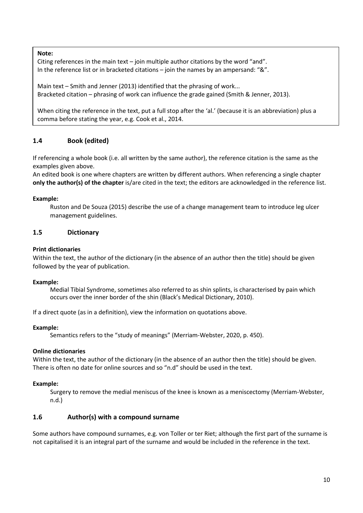**Note:**

Citing references in the main text – join multiple author citations by the word "and". In the reference list or in bracketed citations – join the names by an ampersand: "&".

Main text – Smith and Jenner (2013) identified that the phrasing of work... Bracketed citation – phrasing of work can influence the grade gained (Smith & Jenner, 2013).

When citing the reference in the text, put a full stop after the 'al.' (because it is an abbreviation) plus a comma before stating the year, e.g. Cook et al., 2014.

#### <span id="page-9-0"></span>**1.4 Book (edited)**

If referencing a whole book (i.e. all written by the same author), the reference citation is the same as the examples given above.

An edited book is one where chapters are written by different authors. When referencing a single chapter **only the author(s) of the chapter** is/are cited in the text; the editors are acknowledged in the reference list.

#### **Example:**

Ruston and De Souza (2015) describe the use of a change management team to introduce leg ulcer management guidelines.

#### <span id="page-9-1"></span>**1.5 Dictionary**

#### **Print dictionaries**

Within the text, the author of the dictionary (in the absence of an author then the title) should be given followed by the year of publication.

#### **Example:**

Medial Tibial Syndrome, sometimes also referred to as shin splints, is characterised by pain which occurs over the inner border of the shin (Black's Medical Dictionary, 2010).

If a direct quote (as in a definition), view the information on quotations above.

#### **Example:**

Semantics refers to the "study of meanings" (Merriam-Webster, 2020, p. 450).

#### **Online dictionaries**

Within the text, the author of the dictionary (in the absence of an author then the title) should be given. There is often no date for online sources and so "n.d" should be used in the text.

#### **Example:**

Surgery to remove the medial meniscus of the knee is known as a meniscectomy (Merriam-Webster, n.d.)

#### <span id="page-9-2"></span>**1.6 Author(s) with a compound surname**

Some authors have compound surnames, e.g. von Toller or ter Riet; although the first part of the surname is not capitalised it is an integral part of the surname and would be included in the reference in the text.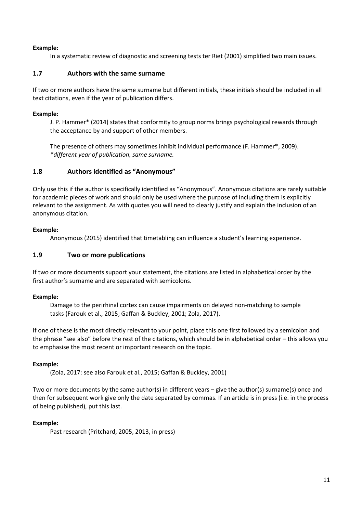#### **Example:**

In a systematic review of diagnostic and screening tests ter Riet (2001) simplified two main issues.

#### <span id="page-10-0"></span>**1.7 Authors with the same surname**

If two or more authors have the same surname but different initials, these initials should be included in all text citations, even if the year of publication differs.

#### **Example:**

J. P. Hammer\* (2014) states that conformity to group norms brings psychological rewards through the acceptance by and support of other members.

The presence of others may sometimes inhibit individual performance (F. Hammer\*, 2009). *\*different year of publication, same surname.*

#### <span id="page-10-1"></span>**1.8 Authors identified as "Anonymous"**

Only use this if the author is specifically identified as "Anonymous". Anonymous citations are rarely suitable for academic pieces of work and should only be used where the purpose of including them is explicitly relevant to the assignment. As with quotes you will need to clearly justify and explain the inclusion of an anonymous citation.

#### **Example:**

Anonymous (2015) identified that timetabling can influence a student's learning experience.

#### <span id="page-10-2"></span>**1.9 Two or more publications**

If two or more documents support your statement, the citations are listed in alphabetical order by the first author's surname and are separated with semicolons.

#### **Example:**

Damage to the perirhinal cortex can cause impairments on delayed non-matching to sample tasks (Farouk et al., 2015; Gaffan & Buckley, 2001; Zola, 2017).

If one of these is the most directly relevant to your point, place this one first followed by a semicolon and the phrase "see also" before the rest of the citations, which should be in alphabetical order – this allows you to emphasise the most recent or important research on the topic.

#### **Example:**

(Zola, 2017: see also Farouk et al., 2015; Gaffan & Buckley, 2001)

Two or more documents by the same author(s) in different years – give the author(s) surname(s) once and then for subsequent work give only the date separated by commas. If an article is in press (i.e. in the process of being published), put this last.

#### **Example:**

Past research (Pritchard, 2005, 2013, in press)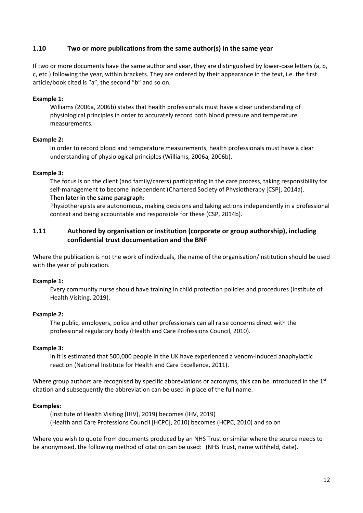#### <span id="page-11-0"></span>**1.10 Two or more publications from the same author(s) in the same year**

If two or more documents have the same author and year, they are distinguished by lower-case letters (a, b, c, etc.) following the year, within brackets. They are ordered by their appearance in the text, i.e. the first article/book cited is "a", the second "b" and so on.

#### **Example 1:**

Williams (2006a, 2006b) states that health professionals must have a clear understanding of physiological principles in order to accurately record both blood pressure and temperature measurements.

#### **Example 2:**

In order to record blood and temperature measurements, health professionals must have a clear understanding of physiological principles (Williams, 2006a, 2006b).

#### **Example 3:**

The focus is on the client (and family/carers) participating in the care process, taking responsibility for self-management to become independent (Chartered Society of Physiotherapy [CSP], 2014a). **Then later in the same paragraph:**

Physiotherapists are autonomous, making decisions and taking actions independently in a professional context and being accountable and responsible for these (CSP, 2014b).

#### <span id="page-11-1"></span>**1.11 Authored by organisation or institution (corporate or group authorship), including confidential trust documentation and the BNF**

Where the publication is not the work of individuals, the name of the organisation/institution should be used with the year of publication.

#### **Example 1:**

Every community nurse should have training in child protection policies and procedures (Institute of Health Visiting, 2019).

#### **Example 2:**

The public, employers, police and other professionals can all raise concerns direct with the professional regulatory body (Health and Care Professions Council, 2010).

#### **Example 3:**

In it is estimated that 500,000 people in the UK have experienced a venom-induced anaphylactic reaction (National Institute for Health and Care Excellence, 2011).

Where group authors are recognised by specific abbreviations or acronyms, this can be introduced in the  $1<sup>st</sup>$ citation and subsequently the abbreviation can be used in place of the full name.

#### **Examples:**

(Institute of Health Visiting [IHV], 2019) becomes (IHV, 2019) (Health and Care Professions Council [HCPC], 2010) becomes (HCPC, 2010) and so on

Where you wish to quote from documents produced by an NHS Trust or similar where the source needs to be anonymised, the following method of citation can be used: (NHS Trust, name withheld, date).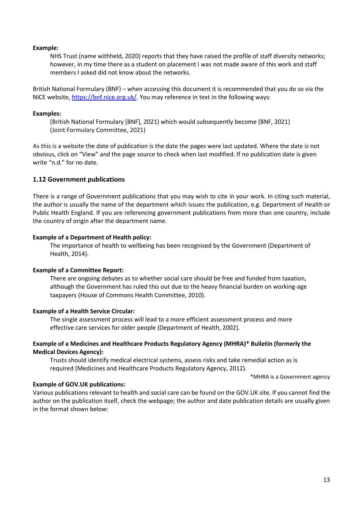#### **Example:**

NHS Trust (name withheld, 2020) reports that they have raised the profile of staff diversity networks; however, in my time there as a student on placement I was not made aware of this work and staff members I asked did not know about the networks.

British National Formulary (BNF) – when accessing this document it is recommended that you do so via the NICE website, [https://bnf.nice.org.uk/.](https://bnf.nice.org.uk/) You may reference in text in the following ways:

#### **Examples:**

<span id="page-12-0"></span>(British National Formulary [BNF], 2021) which would subsequently become (BNF, 2021) (Joint Formulary Committee, 2021)

As this is a website the date of publication is the date the pages were last updated. Where the date is not obvious, click on "View" and the page source to check when last modified. If no publication date is given write "n.d." for no date.

#### **1.12 Government publications**

There is a range of Government publications that you may wish to cite in your work. In citing such material, the author is usually the name of the department which issues the publication, e.g. Department of Health or Public Health England. If you are referencing government publications from more than one country, include the country of origin after the department name.

#### **Example of a Department of Health policy:**

The importance of health to wellbeing has been recognised by the Government (Department of Health, 2014).

#### **Example of a Committee Report:**

There are ongoing debates as to whether social care should be free and funded from taxation, although the Government has ruled this out due to the heavy financial burden on working-age taxpayers (House of Commons Health Committee, 2010).

#### **Example of a Health Service Circular:**

The single assessment process will lead to a more efficient assessment process and more effective care services for older people (Department of Health, 2002).

#### **Example of a Medicines and Healthcare Products Regulatory Agency (MHRA)\* Bulletin (formerly the Medical Devices Agency):**

Trusts should identify medical electrical systems, assess risks and take remedial action as is required (Medicines and Healthcare Products Regulatory Agency, 2012).

\*MHRA is a Government agency

#### **Example of GOV.UK publications:**

Various publications relevant to health and social care can be found on the GOV.UK site. If you cannot find the author on the publication itself, check the webpage; the author and date publication details are usually given in the format shown below: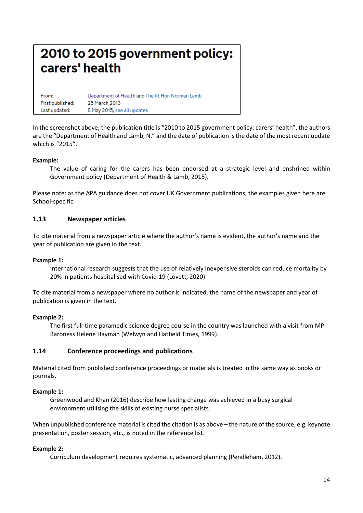# 2010 to 2015 government policy: carers' health

| From:            | Department of Health and The Rt Hon Norman Lamb |
|------------------|-------------------------------------------------|
| First published: | 25 March 2013                                   |
| Last updated:    | 8 May 2015, see all updates                     |

In the screenshot above, the publication title is "2010 to 2015 government policy: carers' health", the authors are the "Department of Health and Lamb, N." and the date of publication is the date of the most recent update which is "2015".

#### **Example:**

The value of caring for the carers has been endorsed at a strategic level and enshrined within Government policy (Department of Health & Lamb, 2015).

Please note: as the APA guidance does not cover UK Government publications, the examples given here are School-specific.

#### <span id="page-13-0"></span>**1.13 Newspaper articles**

To cite material from a newspaper article where the author's name is evident, the author's name and the year of publication are given in the text.

#### **Example 1:**

International research suggests that the use of relatively inexpensive steroids can reduce mortality by 20% in patients hospitalised with Covid-19 (Lovett, 2020).

To cite material from a newspaper where no author is indicated, the name of the newspaper and year of publication is given in the text.

#### **Example 2:**

The first full-time paramedic science degree course in the country was launched with a visit from MP Baroness Helene Hayman (Welwyn and Hatfield Times, 1999).

#### <span id="page-13-1"></span>**1.14 Conference proceedings and publications**

Material cited from published conference proceedings or materials is treated in the same way as books or journals.

#### **Example 1:**

Greenwood and Khan (2016) describe how lasting change was achieved in a busy surgical environment utilising the skills of existing nurse specialists.

When unpublished conference material is cited the citation is as above – the nature of the source, e.g. keynote presentation, poster session, etc., is noted in the reference list.

#### **Example 2:**

Curriculum development requires systematic, advanced planning (Pendleham, 2012).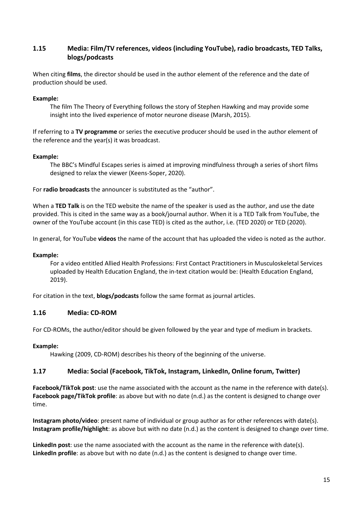#### <span id="page-14-0"></span>**1.15 Media: Film/TV references, videos (including YouTube), radio broadcasts, TED Talks, blogs/podcasts**

When citing **films**, the director should be used in the author element of the reference and the date of production should be used.

#### **Example:**

The film The Theory of Everything follows the story of Stephen Hawking and may provide some insight into the lived experience of motor neurone disease (Marsh, 2015).

If referring to a **TV programme** or series the executive producer should be used in the author element of the reference and the year(s) it was broadcast.

#### **Example:**

The BBC's Mindful Escapes series is aimed at improving mindfulness through a series of short films designed to relax the viewer (Keens-Soper, 2020).

For **radio broadcasts** the announcer is substituted as the "author".

When a **TED Talk** is on the TED website the name of the speaker is used as the author, and use the date provided. This is cited in the same way as a book/journal author. When it is a TED Talk from YouTube, the owner of the YouTube account (in this case TED) is cited as the author, i.e. (TED 2020) or TED (2020).

In general, for YouTube **videos** the name of the account that has uploaded the video is noted as the author.

#### **Example:**

For a video entitled Allied Health Professions: First Contact Practitioners in Musculoskeletal Services uploaded by Health Education England, the in-text citation would be: (Health Education England, 2019).

For citation in the text, **blogs/podcasts** follow the same format as journal articles.

#### <span id="page-14-1"></span>**1.16 Media: CD-ROM**

For CD-ROMs, the author/editor should be given followed by the year and type of medium in brackets.

#### **Example:**

Hawking (2009, CD-ROM) describes his theory of the beginning of the universe.

#### <span id="page-14-2"></span>**1.17 Media: Social (Facebook, TikTok, Instagram, LinkedIn, Online forum, Twitter)**

**Facebook/TikTok post**: use the name associated with the account as the name in the reference with date(s). **Facebook page/TikTok profile**: as above but with no date (n.d.) as the content is designed to change over time.

**Instagram photo/video**: present name of individual or group author as for other references with date(s). **Instagram profile/highlight**: as above but with no date (n.d.) as the content is designed to change over time.

**LinkedIn post**: use the name associated with the account as the name in the reference with date(s). **LinkedIn profile**: as above but with no date (n.d.) as the content is designed to change over time.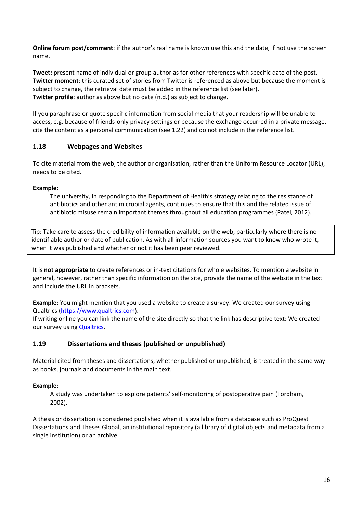**Online forum post/comment**: if the author's real name is known use this and the date, if not use the screen name.

**Tweet:** present name of individual or group author as for other references with specific date of the post. **Twitter moment**: this curated set of stories from Twitter is referenced as above but because the moment is subject to change, the retrieval date must be added in the reference list (see later). **Twitter profile**: author as above but no date (n.d.) as subject to change.

If you paraphrase or quote specific information from social media that your readership will be unable to access, e.g. because of friends-only privacy settings or because the exchange occurred in a private message, cite the content as a personal communication (see 1.22) and do not include in the reference list.

#### <span id="page-15-0"></span>**1.18 Webpages and Websites**

To cite material from the web, the author or organisation, rather than the Uniform Resource Locator (URL), needs to be cited.

#### **Example:**

The university, in responding to the Department of Health's strategy relating to the resistance of antibiotics and other antimicrobial agents, continues to ensure that this and the related issue of antibiotic misuse remain important themes throughout all education programmes (Patel, 2012).

Tip: Take care to assess the credibility of information available on the web, particularly where there is no identifiable author or date of publication. As with all information sources you want to know who wrote it, when it was published and whether or not it has been peer reviewed.

It is **not appropriate** to create references or in-text citations for whole websites. To mention a website in general, however, rather than specific information on the site, provide the name of the website in the text and include the URL in brackets.

**Example:** You might mention that you used a website to create a survey: We created our survey using Qualtrics [\(https://www.qualtrics.com\)](https://www.qualtrics.com/).

If writing online you can link the name of the site directly so that the link has descriptive text: We created our survey using **Qualtrics**.

#### <span id="page-15-1"></span>**1.19 Dissertations and theses (published or unpublished)**

Material cited from theses and dissertations, whether published or unpublished, is treated in the same way as books, journals and documents in the main text.

#### **Example:**

A study was undertaken to explore patients' self-monitoring of postoperative pain (Fordham, 2002).

A thesis or dissertation is considered published when it is available from a database such as ProQuest Dissertations and Theses Global, an institutional repository (a library of digital objects and metadata from a single institution) or an archive.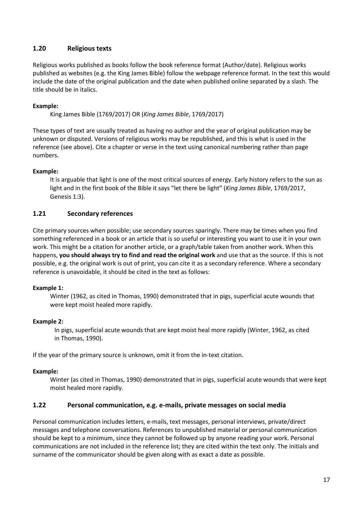#### <span id="page-16-0"></span>**1.20 Religious texts**

Religious works published as books follow the book reference format (Author/date). Religious works published as websites (e.g. the King James Bible) follow the webpage reference format. In the text this would include the date of the original publication and the date when published online separated by a slash. The title should be in italics.

#### **Example:**

King James Bible (1769/2017) OR (*King James Bible*, 1769/2017)

These types of text are usually treated as having no author and the year of original publication may be unknown or disputed. Versions of religious works may be republished, and this is what is used in the reference (see above). Cite a chapter or verse in the text using canonical numbering rather than page numbers.

#### **Example:**

It is arguable that light is one of the most critical sources of energy. Early history refers to the sun as light and in the first book of the Bible it says "let there be light" (*King James Bible*, 1769/2017, Genesis 1:3).

#### <span id="page-16-1"></span>**1.21 Secondary references**

Cite primary sources when possible; use secondary sources sparingly. There may be times when you find something referenced in a book or an article that is so useful or interesting you want to use it in your own work. This might be a citation for another article, or a graph/table taken from another work. When this happens, **you should always try to find and read the original work** and use that as the source. If this is not possible, e.g. the original work is out of print, you can cite it as a secondary reference. Where a secondary reference is unavoidable, it should be cited in the text as follows:

#### **Example 1:**

Winter (1962, as cited in Thomas, 1990) demonstrated that in pigs, superficial acute wounds that were kept moist healed more rapidly.

#### **Example 2:**

In pigs, superficial acute wounds that are kept moist heal more rapidly (Winter, 1962, as cited in Thomas, 1990).

If the year of the primary source is unknown, omit it from the in-text citation.

#### **Example:**

Winter (as cited in Thomas, 1990) demonstrated that in pigs, superficial acute wounds that were kept moist healed more rapidly.

#### <span id="page-16-2"></span>**1.22 Personal communication, e.g. e-mails, private messages on social media**

Personal communication includes letters, e-mails, text messages, personal interviews, private/direct messages and telephone conversations. References to unpublished material or personal communication should be kept to a minimum, since they cannot be followed up by anyone reading your work. Personal communications are not included in the reference list; they are cited within the text only. The initials and surname of the communicator should be given along with as exact a date as possible.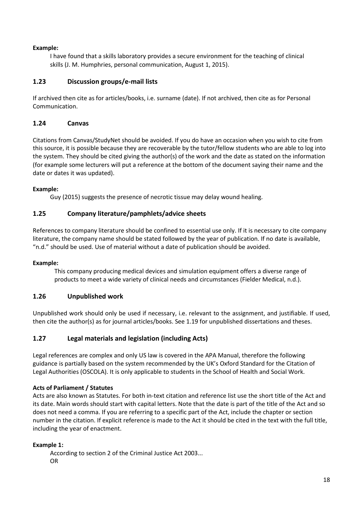#### **Example:**

I have found that a skills laboratory provides a secure environment for the teaching of clinical skills (J. M. Humphries, personal communication, August 1, 2015).

#### <span id="page-17-0"></span>**1.23 Discussion groups/e-mail lists**

If archived then cite as for articles/books, i.e. surname (date). If not archived, then cite as for Personal Communication.

#### <span id="page-17-1"></span>**1.24 Canvas**

Citations from Canvas/StudyNet should be avoided. If you do have an occasion when you wish to cite from this source, it is possible because they are recoverable by the tutor/fellow students who are able to log into the system. They should be cited giving the author(s) of the work and the date as stated on the information (for example some lecturers will put a reference at the bottom of the document saying their name and the date or dates it was updated).

#### **Example:**

Guy (2015) suggests the presence of necrotic tissue may delay wound healing.

#### <span id="page-17-2"></span>**1.25 Company literature/pamphlets/advice sheets**

References to company literature should be confined to essential use only. If it is necessary to cite company literature, the company name should be stated followed by the year of publication. If no date is available, "n.d." should be used. Use of material without a date of publication should be avoided.

#### **Example:**

This company producing medical devices and simulation equipment offers a diverse range of products to meet a wide variety of clinical needs and circumstances (Fielder Medical, n.d.).

#### <span id="page-17-3"></span>**1.26 Unpublished work**

Unpublished work should only be used if necessary, i.e. relevant to the assignment, and justifiable. If used, then cite the author(s) as for journal articles/books. See 1.19 for unpublished dissertations and theses.

#### <span id="page-17-4"></span>**1.27 Legal materials and legislation (including Acts)**

Legal references are complex and only US law is covered in the APA Manual, therefore the following guidance is partially based on the system recommended by the UK's Oxford Standard for the Citation of Legal Authorities (OSCOLA). It is only applicable to students in the School of Health and Social Work.

#### **Acts of Parliament / Statutes**

Acts are also known as Statutes. For both in-text citation and reference list use the short title of the Act and its date. Main words should start with capital letters. Note that the date is part of the title of the Act and so does not need a comma. If you are referring to a specific part of the Act, include the chapter or section number in the citation. If explicit reference is made to the Act it should be cited in the text with the full title, including the year of enactment.

#### **Example 1:**

According to section 2 of the Criminal Justice Act 2003... OR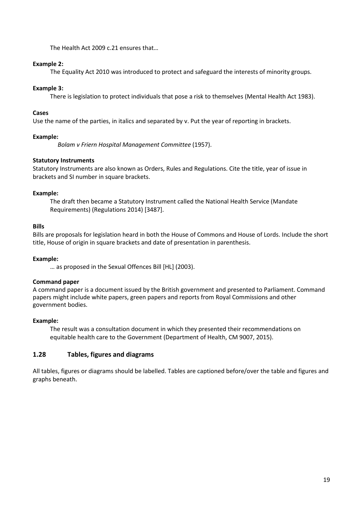The Health Act 2009 c.21 ensures that…

#### **Example 2:**

The Equality Act 2010 was introduced to protect and safeguard the interests of minority groups.

#### **Example 3:**

There is legislation to protect individuals that pose a risk to themselves (Mental Health Act 1983).

#### **Cases**

Use the name of the parties, in italics and separated by v. Put the year of reporting in brackets.

#### **Example:**

*Bolam v Friern Hospital Management Committee* (1957).

#### **Statutory Instruments**

Statutory Instruments are also known as Orders, Rules and Regulations. Cite the title, year of issue in brackets and SI number in square brackets.

#### **Example:**

The draft then became a Statutory Instrument called the National Health Service (Mandate Requirements) (Regulations 2014) [3487].

#### **Bills**

Bills are proposals for legislation heard in both the House of Commons and House of Lords. Include the short title, House of origin in square brackets and date of presentation in parenthesis.

#### **Example:**

… as proposed in the Sexual Offences Bill [HL] (2003).

#### **Command paper**

A command paper is a document issued by the British government and presented to Parliament. Command papers might include white papers, green papers and reports from Royal Commissions and other government bodies.

#### **Example:**

The result was a consultation document in which they presented their recommendations on equitable health care to the Government (Department of Health, CM 9007, 2015).

#### <span id="page-18-0"></span>**1.28 Tables, figures and diagrams**

All tables, figures or diagrams should be labelled. Tables are captioned before/over the table and figures and graphs beneath.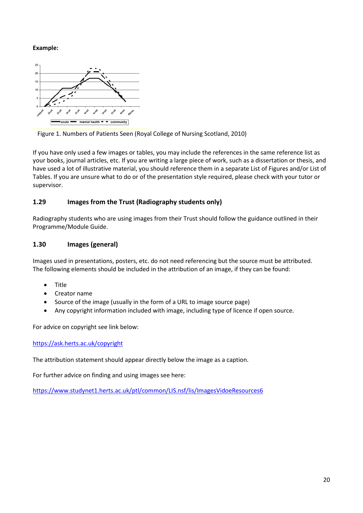#### **Example:**



Figure 1. Numbers of Patients Seen (Royal College of Nursing Scotland, 2010)

If you have only used a few images or tables, you may include the references in the same reference list as your books, journal articles, etc. If you are writing a large piece of work, such as a dissertation or thesis, and have used a lot of illustrative material, you should reference them in a separate List of Figures and/or List of Tables. If you are unsure what to do or of the presentation style required, please check with your tutor or supervisor.

#### <span id="page-19-0"></span>**1.29 Images from the Trust (Radiography students only)**

Radiography students who are using images from their Trust should follow the guidance outlined in their Programme/Module Guide.

#### <span id="page-19-1"></span>**1.30 Images (general)**

Images used in presentations, posters, etc. do not need referencing but the source must be attributed. The following elements should be included in the attribution of an image, if they can be found:

- Title
- Creator name
- Source of the image (usually in the form of a URL to image source page)
- Any copyright information included with image, including type of licence if open source.

For advice on copyright see link below:

#### <https://ask.herts.ac.uk/copyright>

The attribution statement should appear directly below the image as a caption.

For further advice on finding and using images see here:

<https://www.studynet1.herts.ac.uk/ptl/common/LIS.nsf/lis/ImagesVidoeResources6>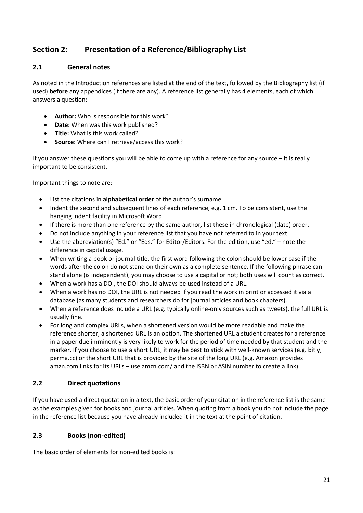### **Section 2: Presentation of a Reference/Bibliography List**

#### <span id="page-20-0"></span>**2.1 General notes**

As noted in the Introduction references are listed at the end of the text, followed by the Bibliography list (if used) **before** any appendices (if there are any). A reference list generally has 4 elements, each of which answers a question:

- **Author:** Who is responsible for this work?
- **Date:** When was this work published?
- **Title:** What is this work called?
- **Source:** Where can I retrieve/access this work?

If you answer these questions you will be able to come up with a reference for any source – it is really important to be consistent.

Important things to note are:

- List the citations in **alphabetical order** of the author's surname.
- Indent the second and subsequent lines of each reference, e.g. 1 cm. To be consistent, use the hanging indent facility in Microsoft Word.
- If there is more than one reference by the same author, list these in chronological (date) order.
- Do not include anything in your reference list that you have not referred to in your text.
- Use the abbreviation(s) "Ed." or "Eds." for Editor/Editors. For the edition, use "ed." note the difference in capital usage.
- When writing a book or journal title, the first word following the colon should be lower case if the words after the colon do not stand on their own as a complete sentence. If the following phrase can stand alone (is independent), you may choose to use a capital or not; both uses will count as correct.
- When a work has a DOI, the DOI should always be used instead of a URL.
- When a work has no DOI, the URL is not needed if you read the work in print or accessed it via a database (as many students and researchers do for journal articles and book chapters).
- When a reference does include a URL (e.g. typically online-only sources such as tweets), the full URL is usually fine.
- For long and complex URLs, when a shortened version would be more readable and make the reference shorter, a shortened URL is an option. The shortened URL a student creates for a reference in a paper due imminently is very likely to work for the period of time needed by that student and the marker. If you choose to use a short URL, it may be best to stick with well-known services (e.g. bitly, perma.cc) or the short URL that is provided by the site of the long URL (e.g. Amazon provides amzn.com links for its URLs – use amzn.com/ and the ISBN or ASIN number to create a link).

#### <span id="page-20-1"></span>**2.2 Direct quotations**

If you have used a direct quotation in a text, the basic order of your citation in the reference list is the same as the examples given for books and journal articles. When quoting from a book you do not include the page in the reference list because you have already included it in the text at the point of citation.

#### <span id="page-20-2"></span>**2.3 Books (non-edited)**

The basic order of elements for non-edited books is: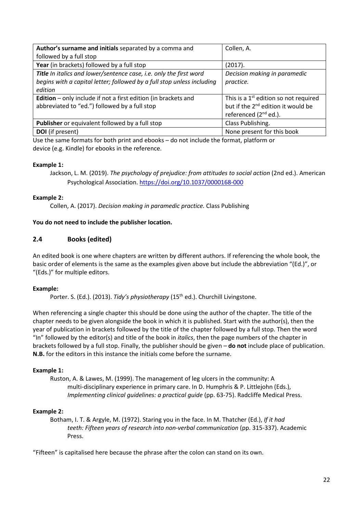| Author's surname and initials separated by a comma and                 | Collen, A.                                        |
|------------------------------------------------------------------------|---------------------------------------------------|
| followed by a full stop                                                |                                                   |
| Year (in brackets) followed by a full stop                             | (2017).                                           |
| Title In italics and lower/sentence case, i.e. only the first word     | Decision making in paramedic                      |
| begins with a capital letter; followed by a full stop unless including | practice.                                         |
| edition                                                                |                                                   |
| <b>Edition</b> – only include if not a first edition (in brackets and  | This is a 1 <sup>st</sup> edition so not required |
| abbreviated to "ed.") followed by a full stop                          | but if the 2 <sup>nd</sup> edition it would be    |
|                                                                        | referenced $(2^{nd}$ ed.).                        |
| Publisher or equivalent followed by a full stop                        | Class Publishing.                                 |
| <b>DOI</b> (if present)                                                | None present for this book                        |

Use the same formats for both print and ebooks – do not include the format, platform or device (e.g. Kindle) for ebooks in the reference.

#### **Example 1:**

Jackson, L. M. (2019). *The psychology of prejudice: from attitudes to social action* (2nd ed.). American Psychological Association. <https://doi.org/10.1037/0000168-000>

#### **Example 2:**

Collen, A. (2017). *Decision making in paramedic practice.* Class Publishing

#### **You do not need to include the publisher location.**

#### <span id="page-21-0"></span>**2.4 Books (edited)**

An edited book is one where chapters are written by different authors. If referencing the whole book, the basic order of elements is the same as the examples given above but include the abbreviation "(Ed.)", or "(Eds.)" for multiple editors.

#### **Example:**

Porter. S. (Ed.). (2013). *Tidy's physiotherapy* (15<sup>th</sup> ed.). Churchill Livingstone.

When referencing a single chapter this should be done using the author of the chapter. The title of the chapter needs to be given alongside the book in which it is published. Start with the author(s), then the year of publication in brackets followed by the title of the chapter followed by a full stop. Then the word "In" followed by the editor(s) and title of the book in *italics*, then the page numbers of the chapter in brackets followed by a full stop. Finally, the publisher should be given – **do not** include place of publication. **N.B.** for the editors in this instance the initials come before the surname.

#### **Example 1:**

Ruston, A. & Lawes, M. (1999). The management of leg ulcers in the community: A multi-disciplinary experience in primary care. In D. Humphris & P. Littlejohn (Eds.), *Implementing clinical guidelines: a practical guide* (pp. 63-75). Radcliffe Medical Press.

#### **Example 2:**

Botham, I. T. & Argyle, M. (1972). Staring you in the face. In M. Thatcher (Ed.), *If it had teeth: Fifteen years of research into non-verbal communication* (pp. 315-337). Academic Press.

"Fifteen" is capitalised here because the phrase after the colon can stand on its own.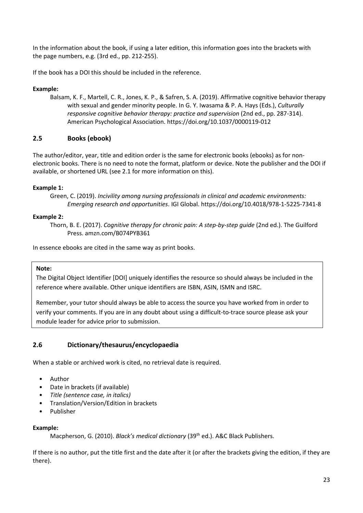In the information about the book, if using a later edition, this information goes into the brackets with the page numbers, e.g. (3rd ed., pp. 212-255).

If the book has a DOI this should be included in the reference.

#### **Example:**

Balsam, K. F., Martell, C. R., Jones, K. P., & Safren, S. A. (2019). Affirmative cognitive behavior therapy with sexual and gender minority people. In G. Y. Iwasama & P. A. Hays (Eds.), *Culturally responsive cognitive behavior therapy: practice and supervision* (2nd ed., pp. 287-314). American Psychological Association. https://doi.org/10.1037/0000119-012

#### <span id="page-22-0"></span>**2.5 Books (ebook)**

The author/editor, year, title and edition order is the same for electronic books (ebooks) as for nonelectronic books. There is no need to note the format, platform or device. Note the publisher and the DOI if available, or shortened URL (see 2.1 for more information on this).

#### **Example 1:**

```
Green, C. (2019). Incivility among nursing professionals in clinical and academic environments: 
Emerging research and opportunities. IGI Global. https://doi.org/10.4018/978-1-5225-7341-8
```
#### **Example 2:**

Thorn, B. E. (2017). *Cognitive therapy for chronic pain: A step-by-step guide* (2nd ed.). The Guilford Press. amzn.com/B074PYB361

In essence ebooks are cited in the same way as print books.

#### **Note:**

The Digital Object Identifier [DOI] uniquely identifies the resource so should always be included in the reference where available. Other unique identifiers are ISBN, ASIN, ISMN and ISRC.

Remember, your tutor should always be able to access the source you have worked from in order to verify your comments. If you are in any doubt about using a difficult-to-trace source please ask your module leader for advice prior to submission.

#### <span id="page-22-1"></span>**2.6 Dictionary/thesaurus/encyclopaedia**

When a stable or archived work is cited, no retrieval date is required.

- Author
- Date in brackets (if available)
- *Title (sentence case, in italics)*
- Translation/Version/Edition in brackets
- Publisher

#### **Example:**

Macpherson, G. (2010). *Black's medical dictionary* (39<sup>th</sup> ed.). A&C Black Publishers.

If there is no author, put the title first and the date after it (or after the brackets giving the edition, if they are there).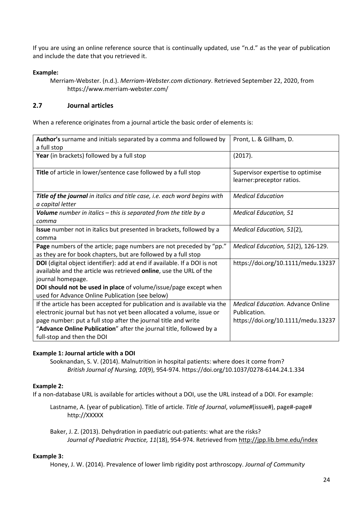If you are using an online reference source that is continually updated, use "n.d." as the year of publication and include the date that you retrieved it.

#### **Example:**

#### <span id="page-23-0"></span>**2.7 Journal articles**

When a reference originates from a journal article the basic order of elements is:

| Author's surname and initials separated by a comma and followed by         | Pront, L. & Gillham, D.                  |
|----------------------------------------------------------------------------|------------------------------------------|
| a full stop                                                                |                                          |
| Year (in brackets) followed by a full stop                                 | (2017).                                  |
|                                                                            |                                          |
| Title of article in lower/sentence case followed by a full stop            | Supervisor expertise to optimise         |
|                                                                            | learner: preceptor ratios.               |
|                                                                            |                                          |
| Title of the journal in italics and title case, i.e. each word begins with | <b>Medical Education</b>                 |
| a capital letter                                                           |                                          |
| Volume number in italics $-$ this is separated from the title by $a$       | <b>Medical Education, 51</b>             |
| comma                                                                      |                                          |
| Issue number not in italics but presented in brackets, followed by a       | Medical Education, 51(2),                |
| comma                                                                      |                                          |
| Page numbers of the article; page numbers are not preceded by "pp."        | Medical Education, 51(2), 126-129.       |
| as they are for book chapters, but are followed by a full stop             |                                          |
| DOI (digital object identifier): add at end if available. If a DOI is not  | https://doi.org/10.1111/medu.13237       |
| available and the article was retrieved online, use the URL of the         |                                          |
| journal homepage.                                                          |                                          |
| DOI should not be used in place of volume/issue/page except when           |                                          |
| used for Advance Online Publication (see below)                            |                                          |
| If the article has been accepted for publication and is available via the  | <b>Medical Education. Advance Online</b> |
| electronic journal but has not yet been allocated a volume, issue or       | Publication.                             |
| page number: put a full stop after the journal title and write             | https://doi.org/10.1111/medu.13237       |
| "Advance Online Publication" after the journal title, followed by a        |                                          |
| full-stop and then the DOI                                                 |                                          |

#### **Example 1: Journal article with a DOI**

Sooknandan, S. V. (2014). Malnutrition in hospital patients: where does it come from? *British Journal of Nursing, 10*(9), 954-974. https://doi.org/10.1037/0278-6144.24.1.334

#### **Example 2:**

If a non-database URL is available for articles without a DOI, use the URL instead of a DOI. For example:

Lastname, A. (year of publication). Title of article. *Title of Journal*, *volume#*(issue#), page#-page# http://XXXXX

Baker, J. Z. (2013). Dehydration in paediatric out-patients: what are the risks? *Journal of Paediatric Practice, 11*(18), 954-974. Retrieved fro[m http://jpp.lib.bme.edu/index](http://jpp.lib.bme.edu/index)

#### **Example 3:**

Honey, J. W. (2014). Prevalence of lower limb rigidity post arthroscopy. *Journal of Community*

Merriam-Webster. (n.d.). *Merriam-Webster.com dictionary*. Retrieved September 22, 2020, from https://www.merriam-webster.com/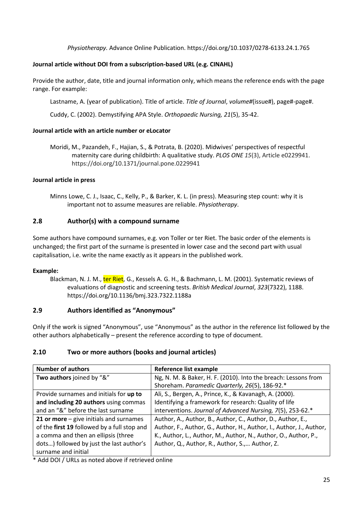*Physiotherapy.* Advance Online Publication. https://doi.org/10.1037/0278-6133.24.1.765

#### <span id="page-24-0"></span>**Journal article without DOI from a subscription-based URL (e.g. CINAHL)**

Provide the author, date, title and journal information only, which means the reference ends with the page range. For example:

Lastname, A. (year of publication). Title of article. *Title of Journal*, *volume#*(issue#), page#-page#.

Cuddy, C. (2002). Demystifying APA Style. *Orthopaedic Nursing, 21*(5), 35-42.

#### **Journal article with an article number or eLocator**

Moridi, M., Pazandeh, F., Hajian, S., & Potrata, B. (2020). Midwives' perspectives of respectful maternity care during childbirth: A qualitative study. *PLOS ONE 15*(3), Article e0229941. https://doi.org/10.1371/journal.pone.0229941

#### **Journal article in press**

Minns Lowe, C. J., Isaac, C., Kelly, P., & Barker, K. L. (in press). Measuring step count: why it is important not to assume measures are reliable. *Physiotherapy*.

#### **2.8 Author(s) with a compound surname**

Some authors have compound surnames, e.g. von Toller or ter Riet. The basic order of the elements is unchanged; the first part of the surname is presented in lower case and the second part with usual capitalisation, i.e. write the name exactly as it appears in the published work.

#### **Example:**

Blackman, N. J. M., ter Riet, G., Kessels A. G. H., & Bachmann, L. M. (2001). Systematic reviews of evaluations of diagnostic and screening tests. *British Medical Journal*, *323*(7322), 1188. https://doi.org/10.1136/bmj.323.7322.1188a

#### <span id="page-24-1"></span>**2.9 Authors identified as "Anonymous"**

Only if the work is signed "Anonymous", use "Anonymous" as the author in the reference list followed by the other authors alphabetically – present the reference according to type of document.

#### <span id="page-24-2"></span>**2.10 Two or more authors (books and journal articles)**

| <b>Number of authors</b>                    | Reference list example                                              |  |
|---------------------------------------------|---------------------------------------------------------------------|--|
| Two authors joined by "&"                   | Ng, N. M. & Baker, H. F. (2010). Into the breach: Lessons from      |  |
|                                             | Shoreham. Paramedic Quarterly, 26(5), 186-92.*                      |  |
| Provide surnames and initials for up to     | Ali, S., Bergen, A., Prince, K., & Kavanagh, A. (2000).             |  |
| and including 20 authors using commas       | Identifying a framework for research: Quality of life               |  |
| and an "&" before the last surname          | interventions. Journal of Advanced Nursing, 7(5), 253-62.*          |  |
| 21 or more $-$ give initials and surnames   | Author, A., Author, B., Author, C., Author, D., Author, E.,         |  |
| of the first 19 followed by a full stop and | Author, F., Author, G., Author, H., Author, I., Author, J., Author, |  |
| a comma and then an ellipsis (three         | K., Author, L., Author, M., Author, N., Author, O., Author, P.,     |  |
| dots) followed by just the last author's    | Author, Q., Author, R., Author, S., Author, Z.                      |  |
| surname and initial                         |                                                                     |  |

\* Add DOI / URLs as noted above if retrieved online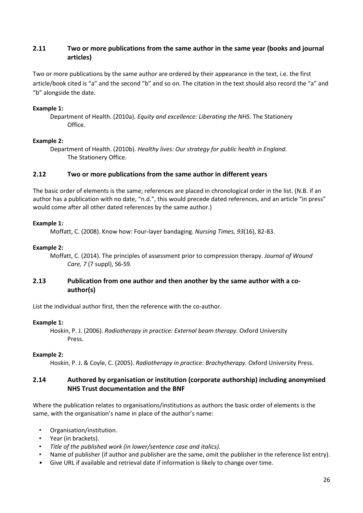#### <span id="page-25-0"></span>**2.11 Two or more publications from the same author in the same year (books and journal articles)**

Two or more publications by the same author are ordered by their appearance in the text, i.e. the first article/book cited is "a" and the second "b" and so on. The citation in the text should also record the "a" and "b" alongside the date.

#### **Example 1:**

#### **Example 2:**

Department of Health. (2010b). *Healthy lives: Our strategy for public health in England*. The Stationery Office.

#### <span id="page-25-1"></span>**2.12 Two or more publications from the same author in different years**

The basic order of elements is the same; references are placed in chronological order in the list. (N.B. if an author has a publication with no date, "n.d.", this would precede dated references, and an article "in press" would come after all other dated references by the same author.)

#### **Example 1:**

Moffatt, C. (2008). Know how: Four-layer bandaging. *Nursing Times, 93*(16), 82-83.

#### **Example 2:**

Moffatt, C. (2014). The principles of assessment prior to compression therapy. *Journal of Wound Care, 7* (7 suppl), S6-S9.

#### <span id="page-25-2"></span>**2.13 Publication from one author and then another by the same author with a coauthor(s)**

List the individual author first, then the reference with the co-author.

#### **Example 1:**

Hoskin, P. J. (2006). *Radiotherapy in practice: External beam therapy.* Oxford University Press.

#### **Example 2:**

Hoskin, P. J. & Coyle, C. (2005). *Radiotherapy in practice: Brachytherapy.* Oxford University Press.

#### <span id="page-25-3"></span>**2.14 Authored by organisation or institution (corporate authorship) including anonymised NHS Trust documentation and the BNF**

Where the publication relates to organisations/institutions as authors the basic order of elements is the same, with the organisation's name in place of the author's name:

- Organisation/institution.
- Year (in brackets).
- *Title of the published work (in lower/sentence case and italics).*
- Name of publisher (if author and publisher are the same, omit the publisher in the reference list entry).
- Give URL if available and retrieval date if information is likely to change over time.

Department of Health. (2010a). *Equity and excellence: Liberating the NHS*. The Stationery Office.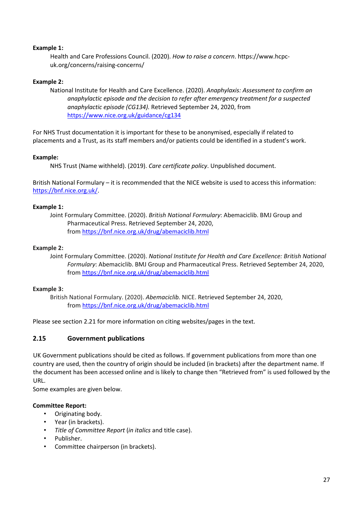#### **Example 1:**

Health and Care Professions Council. (2020). *How to raise a concern*. https://www.hcpcuk.org/concerns/raising-concerns/

#### **Example 2:**

National Institute for Health and Care Excellence. (2020). *Anaphylaxis: Assessment to confirm an anaphylactic episode and the decision to refer after emergency treatment for a suspected anaphylactic episode (CG134).* Retrieved September 24, 2020, from <https://www.nice.org.uk/guidance/cg134>

For NHS Trust documentation it is important for these to be anonymised, especially if related to placements and a Trust, as its staff members and/or patients could be identified in a student's work.

#### **Example:**

NHS Trust (Name withheld). (2019). *Care certificate policy*. Unpublished document.

British National Formulary – it is recommended that the NICE website is used to access this information: [https://bnf.nice.org.uk/.](https://bnf.nice.org.uk/)

#### **Example 1:**

Joint Formulary Committee. (2020). *British National Formulary*: Abemaciclib. BMJ Group and Pharmaceutical Press. Retrieved September 24, 2020, from <https://bnf.nice.org.uk/drug/abemaciclib.html>

#### **Example 2:**

Joint Formulary Committee. (2020). *National Institute for Health and Care Excellence: British National Formulary*: Abemaciclib. BMJ Group and Pharmaceutical Press. Retrieved September 24, 2020, from <https://bnf.nice.org.uk/drug/abemaciclib.html>

#### **Example 3:**

British National Formulary. (2020). *Abemaciclib.* NICE. Retrieved September 24, 2020, from <https://bnf.nice.org.uk/drug/abemaciclib.html>

Please see section 2.21 for more information on citing websites/pages in the text.

#### <span id="page-26-0"></span>**2.15 Government publications**

UK Government publications should be cited as follows. If government publications from more than one country are used, then the country of origin should be included (in brackets) after the department name. If the document has been accessed online and is likely to change then "Retrieved from" is used followed by the URL.

Some examples are given below.

#### **Committee Report:**

- Originating body.
- Year (in brackets).
- *Title of Committee Report* (*in italics* and title case).
- Publisher.
- Committee chairperson (in brackets).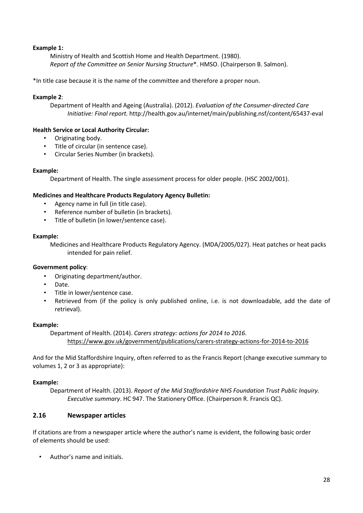#### **Example 1:**

Ministry of Health and Scottish Home and Health Department. (1980). *Report of the Committee on Senior Nursing Structure*\*. HMSO. (Chairperson B. Salmon).

\*In title case because it is the name of the committee and therefore a proper noun.

#### **Example 2**:

Department of Health and Ageing (Australia). (2012). *Evaluation of the Consumer-directed Care Initiative: Final report.* http://health.gov.au/internet/main/publishing.nsf/content/65437-eval

#### **Health Service or Local Authority Circular:**

- Originating body.
- Title of circular (in sentence case).
- Circular Series Number (in brackets).

#### **Example:**

Department of Health. The single assessment process for older people. (HSC 2002/001).

#### **Medicines and Healthcare Products Regulatory Agency Bulletin:**

- Agency name in full (in title case).
- Reference number of bulletin (in brackets).
- Title of bulletin (in lower/sentence case).

#### **Example:**

Medicines and Healthcare Products Regulatory Agency. (MDA/2005/027). Heat patches or heat packs intended for pain relief.

#### **Government policy**:

- Originating department/author.
- Date.
- Title in lower/sentence case.
- Retrieved from (if the policy is only published online, i.e. is not downloadable, add the date of retrieval).

#### **Example:**

Department of Health. (2014). *Carers strategy: actions for 2014 to 2016*. <https://www.gov.uk/government/publications/carers-strategy-actions-for-2014-to-2016>

And for the Mid Staffordshire Inquiry, often referred to as the Francis Report (change executive summary to volumes 1, 2 or 3 as appropriate):

#### **Example:**

Department of Health. (2013). *Report of the Mid Staffordshire NHS Foundation Trust Public Inquiry. Executive summary*. HC 947. The Stationery Office. (Chairperson R. Francis QC).

#### <span id="page-27-0"></span>**2.16 Newspaper articles**

If citations are from a newspaper article where the author's name is evident, the following basic order of elements should be used:

• Author's name and initials.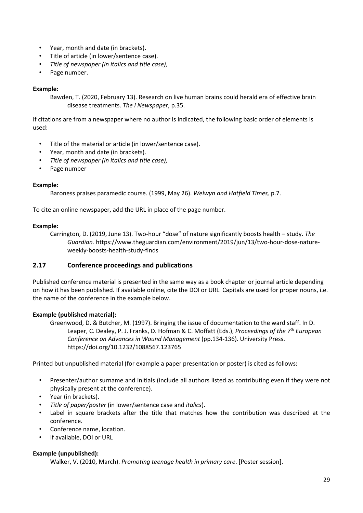- Year, month and date (in brackets).
- Title of article (in lower/sentence case).
- *Title of newspaper (in italics and title case),*
- Page number.

#### **Example:**

Bawden, T. (2020, February 13). Research on live human brains could herald era of effective brain disease treatments. *The i Newspaper*, p.35.

If citations are from a newspaper where no author is indicated, the following basic order of elements is used:

- Title of the material or article (in lower/sentence case).
- Year, month and date (in brackets).
- *Title of newspaper (in italics and title case),*
- Page number

#### **Example:**

Baroness praises paramedic course. (1999, May 26). *Welwyn and Hatfield Times,* p.7.

To cite an online newspaper, add the URL in place of the page number.

#### **Example:**

Carrington, D. (2019, June 13). Two-hour "dose" of nature significantly boosts health – study. *The Guardian.* https://www.theguardian.com/environment/2019/jun/13/two-hour-dose-natureweekly-boosts-health-study-finds

#### <span id="page-28-0"></span>**2.17 Conference proceedings and publications**

Published conference material is presented in the same way as a book chapter or journal article depending on how it has been published. If available online, cite the DOI or URL. Capitals are used for proper nouns, i.e. the name of the conference in the example below.

#### **Example (published material):**

Greenwood, D. & Butcher, M. (1997). Bringing the issue of documentation to the ward staff. In D. Leaper, C. Dealey, P. J. Franks, D. Hofman & C. Moffatt (Eds.), *Proceedings of the 7th European Conference on Advances in Wound Management* (pp.134-136). University Press. https://doi.org/10.1232/1088567.123765

Printed but unpublished material (for example a paper presentation or poster) is cited as follows:

- Presenter/author surname and initials (include all authors listed as contributing even if they were not physically present at the conference).
- Year (in brackets).
- *Title of paper/poster* (in lower/sentence case and *italics*).
- Label in square brackets after the title that matches how the contribution was described at the conference.
- Conference name, location.
- If available, DOI or URL

#### **Example (unpublished):**

Walker, V. (2010, March). *Promoting teenage health in primary care*. [Poster session].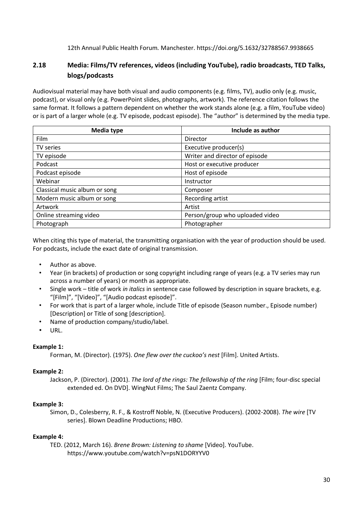12th Annual Public Health Forum*.* Manchester. https://doi.org/5.1632/32788567.9938665

#### <span id="page-29-0"></span>**2.18 Media: Films/TV references, videos (including YouTube), radio broadcasts, TED Talks, blogs/podcasts**

Audiovisual material may have both visual and audio components (e.g. films, TV), audio only (e.g. music, podcast), or visual only (e.g. PowerPoint slides, photographs, artwork). The reference citation follows the same format. It follows a pattern dependent on whether the work stands alone (e.g. a film, YouTube video) or is part of a larger whole (e.g. TV episode, podcast episode). The "author" is determined by the media type.

| <b>Media type</b>             | Include as author               |
|-------------------------------|---------------------------------|
| Film                          | Director                        |
| TV series                     | Executive producer(s)           |
| TV episode                    | Writer and director of episode  |
| Podcast                       | Host or executive producer      |
| Podcast episode               | Host of episode                 |
| Webinar                       | Instructor                      |
| Classical music album or song | Composer                        |
| Modern music album or song    | Recording artist                |
| Artwork                       | Artist                          |
| Online streaming video        | Person/group who uploaded video |
| Photograph                    | Photographer                    |

When citing this type of material, the transmitting organisation with the year of production should be used. For podcasts, include the exact date of original transmission.

- Author as above.
- Year (in brackets) of production or song copyright including range of years (e.g. a TV series may run across a number of years) or month as appropriate.
- Single work title of work *in italics* in sentence case followed by description in square brackets, e.g. "[Film]", "[Video]", "[Audio podcast episode]".
- For work that is part of a larger whole, include Title of episode (Season number., Episode number) [Description] or Title of song [description].
- Name of production company/studio/label.
- URL.

#### **Example 1:**

Forman, M. (Director). (1975). *One flew over the cuckoo's nest* [Film]. United Artists.

#### **Example 2:**

Jackson, P. (Director). (2001). *The lord of the rings: The fellowship of the ring* [Film; four-disc special extended ed. On DVD]. WingNut Films; The Saul Zaentz Company.

#### **Example 3:**

Simon, D., Colesberry, R. F., & Kostroff Noble, N. (Executive Producers). (2002-2008). *The wire* [TV series]. Blown Deadline Productions; HBO.

#### **Example 4:**

TED. (2012, March 16). *Brene Brown: Listening to shame* [Video]. YouTube. https://www.youtube.com/watch?v=psN1DORYYV0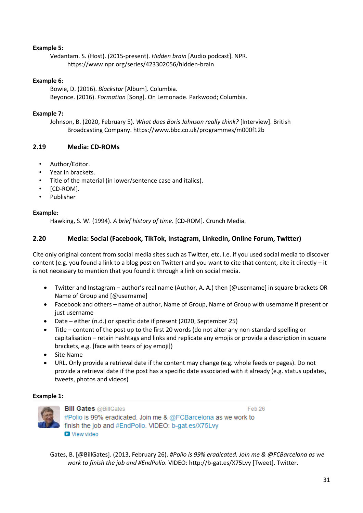#### **Example 5:**

Vedantam. S. (Host). (2015-present). *Hidden brain* [Audio podcast]. NPR. https://www.npr.org/series/423302056/hidden-brain

#### **Example 6:**

Bowie, D. (2016). *Blackstar* [Album]. Columbia. Beyonce. (2016). *Formation* [Song]. On Lemonade. Parkwood; Columbia.

#### **Example 7:**

Johnson, B. (2020, February 5). *What does Boris Johnson really think?* [Interview]. British Broadcasting Company. https://www.bbc.co.uk/programmes/m000f12b

#### <span id="page-30-0"></span>**2.19 Media: CD-ROMs**

- Author/Editor.
- Year in brackets.
- Title of the material (in lower/sentence case and italics).
- [CD-ROM].
- Publisher

#### **Example:**

Hawking, S. W. (1994). *A brief history of time*. [CD-ROM]. Crunch Media.

#### <span id="page-30-1"></span>**2.20 Media: Social (Facebook, TikTok, Instagram, LinkedIn, Online Forum, Twitter)**

Cite only original content from social media sites such as Twitter, etc. I.e. if you used social media to discover content (e.g. you found a link to a blog post on Twitter) and you want to cite that content, cite it directly – it is not necessary to mention that you found it through a link on social media.

- Twitter and Instagram author's real name (Author, A. A.) then [@username] in square brackets OR Name of Group and [@username]
- Facebook and others name of author, Name of Group, Name of Group with username if present or just username
- Date either (n.d.) or specific date if present (2020, September 25)
- Title content of the post up to the first 20 words (do not alter any non-standard spelling or capitalisation – retain hashtags and links and replicate any emojis or provide a description in square brackets, e.g. [face with tears of joy emoji])
- Site Name
- URL. Only provide a retrieval date if the content may change (e.g. whole feeds or pages). Do not provide a retrieval date if the post has a specific date associated with it already (e.g. status updates, tweets, photos and videos)

#### **Example 1:**



**Bill Gates @BillGates** Feb 26 #Polio is 99% eradicated. Join me & @FCBarcelona as we work to finish the job and #EndPolio. VIDEO: b-gat.es/X75Lvy **D** View video

Gates, B. [@BillGates]. (2013, February 26). *#Polio is 99% eradicated. Join me & @FCBarcelona as we work to finish the job and #EndPolio*. VIDEO: http://b-gat.es/X75Lvy [Tweet]. Twitter.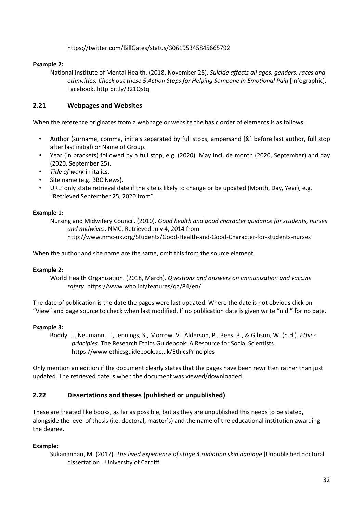#### https://twitter.com/BillGates/status/306195345845665792

#### **Example 2:**

National Institute of Mental Health. (2018, November 28). *Suicide affects all ages, genders, races and ethnicities. Check out these 5 Action Steps for Helping Someone in Emotional Pain* [Infographic]. Facebook. http:bit.ly/321Qstq

#### <span id="page-31-0"></span>**2.21 Webpages and Websites**

When the reference originates from a webpage or website the basic order of elements is as follows:

- Author (surname, comma, initials separated by full stops, ampersand [&] before last author, full stop after last initial) or Name of Group.
- Year (in brackets) followed by a full stop, e.g. (2020). May include month (2020, September) and day (2020, September 25).
- *Title of work* in italics.
- Site name (e.g. BBC News).
- URL: only state retrieval date if the site is likely to change or be updated (Month, Day, Year), e.g. "Retrieved September 25, 2020 from".

#### **Example 1:**

Nursing and Midwifery Council. (2010). *Good health and good character guidance for students, nurses and midwives.* NMC. Retrieved July 4, 2014 from http://www.nmc-uk.org/Students/Good-Health-and-Good-Character-for-students-nurses

When the author and site name are the same, omit this from the source element.

#### **Example 2:**

World Health Organization. (2018, March). *Questions and answers on immunization and vaccine safety.* https://www.who.int/features/qa/84/en/

The date of publication is the date the pages were last updated. Where the date is not obvious click on "View" and page source to check when last modified. If no publication date is given write "n.d." for no date.

#### **Example 3:**

Boddy, J., Neumann, T., Jennings, S., Morrow, V., Alderson, P., Rees, R., & Gibson, W. (n.d.). *Ethics principles*. The Research Ethics Guidebook: A Resource for Social Scientists. https://www.ethicsguidebook.ac.uk/EthicsPrinciples

Only mention an edition if the document clearly states that the pages have been rewritten rather than just updated. The retrieved date is when the document was viewed/downloaded.

#### <span id="page-31-1"></span>**2.22 Dissertations and theses (published or unpublished)**

These are treated like books, as far as possible, but as they are unpublished this needs to be stated, alongside the level of thesis (i.e. doctoral, master's) and the name of the educational institution awarding the degree.

#### **Example:**

Sukanandan, M. (2017). *The lived experience of stage 4 radiation skin damage* [Unpublished doctoral dissertation]. University of Cardiff.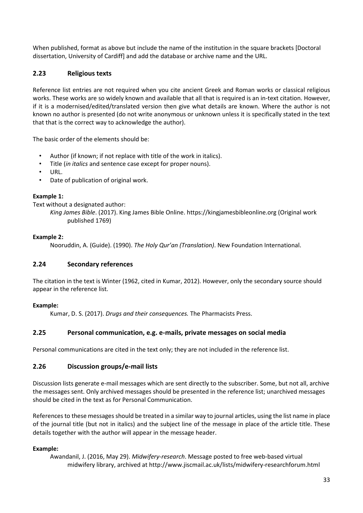When published, format as above but include the name of the institution in the square brackets [Doctoral dissertation, University of Cardiff] and add the database or archive name and the URL.

#### <span id="page-32-0"></span>**2.23 Religious texts**

Reference list entries are not required when you cite ancient Greek and Roman works or classical religious works. These works are so widely known and available that all that is required is an in-text citation. However, if it is a modernised/edited/translated version then give what details are known. Where the author is not known no author is presented (do not write anonymous or unknown unless it is specifically stated in the text that that is the correct way to acknowledge the author).

The basic order of the elements should be:

- Author (if known; if not replace with title of the work in italics).
- Title (*in italics* and sentence case except for proper nouns).
- URL.
- Date of publication of original work.

#### **Example 1:**

Text without a designated author:

*King James Bible*. (2017). King James Bible Online. https://kingjamesbibleonline.org (Original work published 1769)

#### **Example 2:**

Nooruddin, A. (Guide). (1990). *The Holy Qur'an (Translation)*. New Foundation International.

#### <span id="page-32-1"></span>**2.24 Secondary references**

The citation in the text is Winter (1962, cited in Kumar, 2012). However, only the secondary source should appear in the reference list.

#### **Example:**

Kumar, D. S. (2017). *Drugs and their consequences.* The Pharmacists Press.

#### <span id="page-32-2"></span>**2.25 Personal communication, e.g. e-mails, private messages on social media**

Personal communications are cited in the text only; they are not included in the reference list.

#### <span id="page-32-3"></span>**2.26 Discussion groups/e-mail lists**

Discussion lists generate e-mail messages which are sent directly to the subscriber. Some, but not all, archive the messages sent. Only archived messages should be presented in the reference list; unarchived messages should be cited in the text as for Personal Communication.

References to these messages should be treated in a similar way to journal articles, using the list name in place of the journal title (but not in italics) and the subject line of the message in place of the article title. These details together with the author will appear in the message header.

#### **Example:**

Awandanil, J. (2016, May 29). *Midwifery-research*. Message posted to free web-based virtual midwifery library, archived a[t http://www.jiscmail.ac.uk/lists/midwifery-researchforum.html](http://www.jiscmail.ac.uk/lists/midwifery-researchforum.html)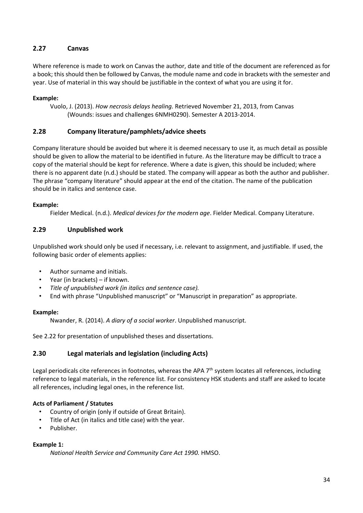#### <span id="page-33-0"></span>**2.27 Canvas**

Where reference is made to work on Canvas the author, date and title of the document are referenced as for a book; this should then be followed by Canvas, the module name and code in brackets with the semester and year. Use of material in this way should be justifiable in the context of what you are using it for.

#### **Example:**

Vuolo, J. (2013). *How necrosis delays healing.* Retrieved November 21, 2013, from Canvas (Wounds: issues and challenges 6NMH0290). Semester A 2013-2014.

#### <span id="page-33-1"></span>**2.28 Company literature/pamphlets/advice sheets**

Company literature should be avoided but where it is deemed necessary to use it, as much detail as possible should be given to allow the material to be identified in future. As the literature may be difficult to trace a copy of the material should be kept for reference. Where a date is given, this should be included; where there is no apparent date (n.d.) should be stated. The company will appear as both the author and publisher. The phrase "company literature" should appear at the end of the citation. The name of the publication should be in italics and sentence case.

#### **Example:**

Fielder Medical. (n.d.). *Medical devices for the modern age*. Fielder Medical. Company Literature.

#### <span id="page-33-2"></span>**2.29 Unpublished work**

Unpublished work should only be used if necessary, i.e. relevant to assignment, and justifiable. If used, the following basic order of elements applies:

- Author surname and initials.
- Year (in brackets) if known.
- *Title of unpublished work (in italics and sentence case).*
- End with phrase "Unpublished manuscript" or "Manuscript in preparation" as appropriate.

#### **Example:**

Nwander, R. (2014). *A diary of a social worker*. Unpublished manuscript.

See 2.22 for presentation of unpublished theses and dissertations.

#### <span id="page-33-3"></span>**2.30 Legal materials and legislation (including Acts)**

Legal periodicals cite references in footnotes, whereas the APA 7<sup>th</sup> system locates all references, including reference to legal materials, in the reference list. For consistency HSK students and staff are asked to locate all references, including legal ones, in the reference list.

#### **Acts of Parliament / Statutes**

- Country of origin (only if outside of Great Britain).
- Title of Act (in italics and title case) with the year.
- Publisher.

#### **Example 1:**

*National Health Service and Community Care Act 1990.* HMSO.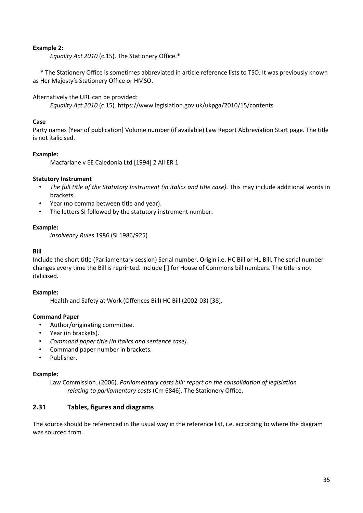#### **Example 2:**

*Equality Act 2010* (c.15). The Stationery Office.\*

\* The Stationery Office is sometimes abbreviated in article reference lists to TSO. It was previously known as Her Majesty's Stationery Office or HMSO.

Alternatively the URL can be provided:

*Equality Act 2010* (c.15). https://www.legislation.gov.uk/ukpga/2010/15/contents

#### **Case**

Party names [Year of publication] Volume number (if available) Law Report Abbreviation Start page. The title is not italicised.

#### **Example:**

Macfarlane v EE Caledonia Ltd [1994] 2 All ER 1

#### **Statutory Instrument**

- *The full title of the Statutory Instrument (in italics and title case)*. This may include additional words in brackets.
- Year (no comma between title and year).
- The letters SI followed by the statutory instrument number.

#### **Example:**

*Insolvency Rules* 1986 (SI 1986/925)

#### **Bill**

Include the short title (Parliamentary session) Serial number. Origin i.e. HC Bill or HL Bill. The serial number changes every time the Bill is reprinted. Include [ ] for House of Commons bill numbers. The title is not italicised.

#### **Example:**

Health and Safety at Work (Offences Bill) HC Bill (2002-03) [38].

#### **Command Paper**

- Author/originating committee.
- Year (in brackets).
- *Command paper title (in italics and sentence case).*
- Command paper number in brackets.
- Publisher.

#### **Example:**

Law Commission. (2006). *Parliamentary costs bill: report on the consolidation of legislation relating to parliamentary costs* (Cm 6846). The Stationery Office.

#### <span id="page-34-0"></span>**2.31 Tables, figures and diagrams**

The source should be referenced in the usual way in the reference list, i.e. according to where the diagram was sourced from.